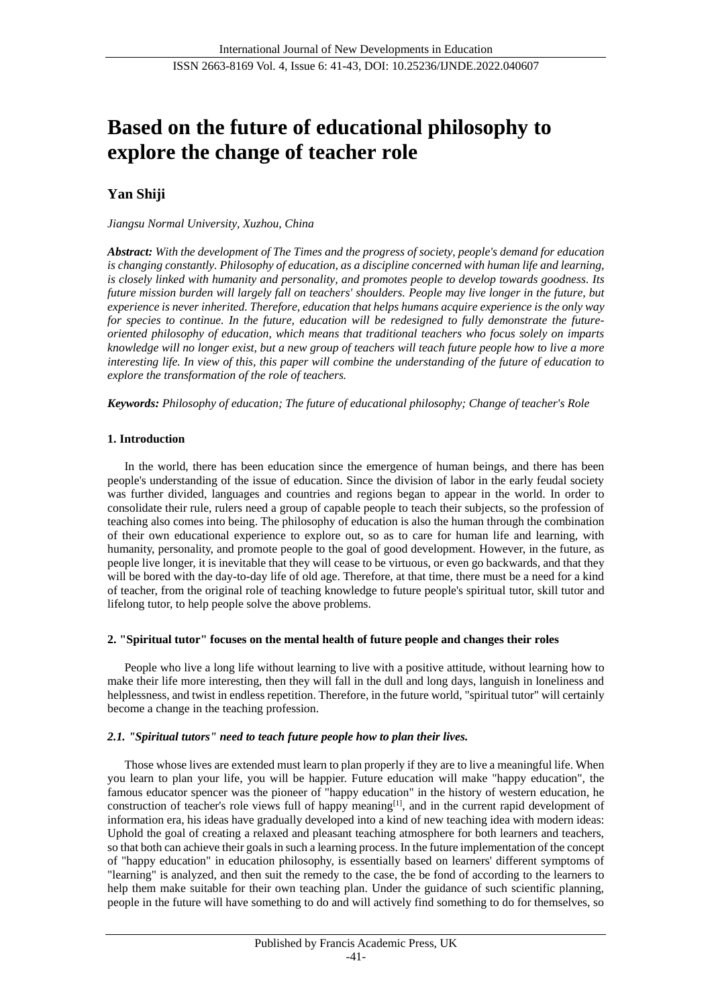# **Based on the future of educational philosophy to explore the change of teacher role**

# **Yan Shiji**

# *Jiangsu Normal University, Xuzhou, China*

*Abstract: With the development of The Times and the progress of society, people's demand for education is changing constantly. Philosophy of education, as a discipline concerned with human life and learning, is closely linked with humanity and personality, and promotes people to develop towards goodness. Its future mission burden will largely fall on teachers' shoulders. People may live longer in the future, but experience is never inherited. Therefore, education that helps humans acquire experience is the only way for species to continue. In the future, education will be redesigned to fully demonstrate the futureoriented philosophy of education, which means that traditional teachers who focus solely on imparts knowledge will no longer exist, but a new group of teachers will teach future people how to live a more interesting life. In view of this, this paper will combine the understanding of the future of education to explore the transformation of the role of teachers.*

*Keywords: Philosophy of education; The future of educational philosophy; Change of teacher's Role*

# **1. Introduction**

In the world, there has been education since the emergence of human beings, and there has been people's understanding of the issue of education. Since the division of labor in the early feudal society was further divided, languages and countries and regions began to appear in the world. In order to consolidate their rule, rulers need a group of capable people to teach their subjects, so the profession of teaching also comes into being. The philosophy of education is also the human through the combination of their own educational experience to explore out, so as to care for human life and learning, with humanity, personality, and promote people to the goal of good development. However, in the future, as people live longer, it is inevitable that they will cease to be virtuous, or even go backwards, and that they will be bored with the day-to-day life of old age. Therefore, at that time, there must be a need for a kind of teacher, from the original role of teaching knowledge to future people's spiritual tutor, skill tutor and lifelong tutor, to help people solve the above problems.

#### **2. "Spiritual tutor" focuses on the mental health of future people and changes their roles**

People who live a long life without learning to live with a positive attitude, without learning how to make their life more interesting, then they will fall in the dull and long days, languish in loneliness and helplessness, and twist in endless repetition. Therefore, in the future world, "spiritual tutor" will certainly become a change in the teaching profession.

# *2.1. "Spiritual tutors" need to teach future people how to plan their lives.*

Those whose lives are extended must learn to plan properly if they are to live a meaningful life. When you learn to plan your life, you will be happier. Future education will make "happy education", the famous educator spencer was the pioneer of "happy education" in the history of western education, he construction of teacher's role views full of happy meaning[1], and in the current rapid development of information era, his ideas have gradually developed into a kind of new teaching idea with modern ideas: Uphold the goal of creating a relaxed and pleasant teaching atmosphere for both learners and teachers, so that both can achieve their goals in such a learning process. In the future implementation of the concept of "happy education" in education philosophy, is essentially based on learners' different symptoms of "learning" is analyzed, and then suit the remedy to the case, the be fond of according to the learners to help them make suitable for their own teaching plan. Under the guidance of such scientific planning, people in the future will have something to do and will actively find something to do for themselves, so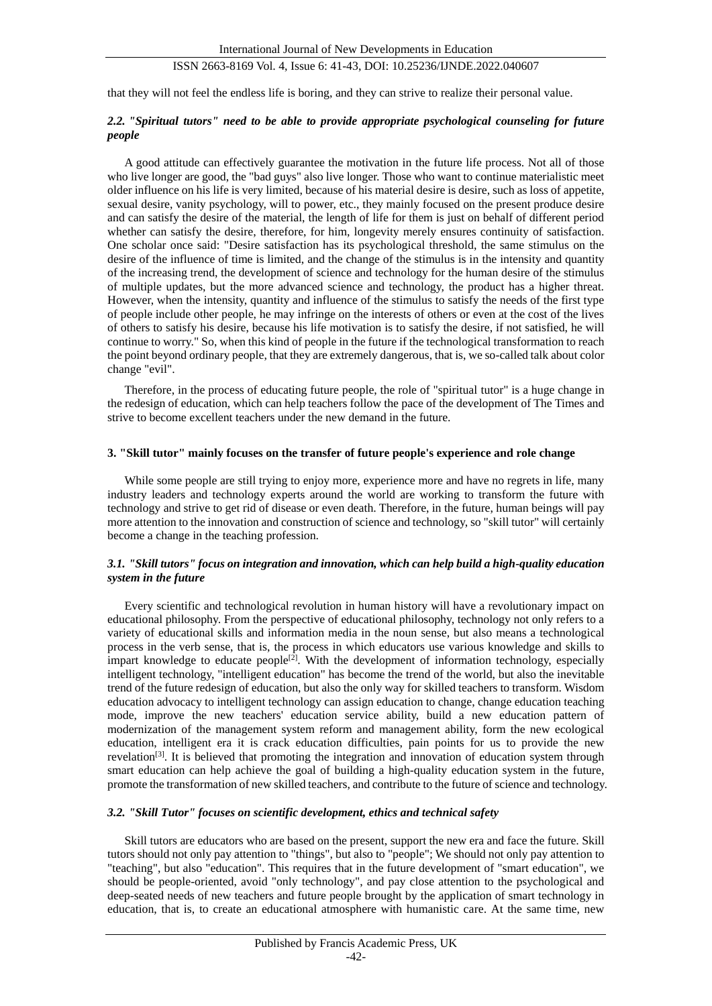# ISSN 2663-8169 Vol. 4, Issue 6: 41-43, DOI: 10.25236/IJNDE.2022.040607

that they will not feel the endless life is boring, and they can strive to realize their personal value.

## *2.2. "Spiritual tutors" need to be able to provide appropriate psychological counseling for future people*

A good attitude can effectively guarantee the motivation in the future life process. Not all of those who live longer are good, the "bad guys" also live longer. Those who want to continue materialistic meet older influence on his life is very limited, because of his material desire is desire, such as loss of appetite, sexual desire, vanity psychology, will to power, etc., they mainly focused on the present produce desire and can satisfy the desire of the material, the length of life for them is just on behalf of different period whether can satisfy the desire, therefore, for him, longevity merely ensures continuity of satisfaction. One scholar once said: "Desire satisfaction has its psychological threshold, the same stimulus on the desire of the influence of time is limited, and the change of the stimulus is in the intensity and quantity of the increasing trend, the development of science and technology for the human desire of the stimulus of multiple updates, but the more advanced science and technology, the product has a higher threat. However, when the intensity, quantity and influence of the stimulus to satisfy the needs of the first type of people include other people, he may infringe on the interests of others or even at the cost of the lives of others to satisfy his desire, because his life motivation is to satisfy the desire, if not satisfied, he will continue to worry." So, when this kind of people in the future if the technological transformation to reach the point beyond ordinary people, that they are extremely dangerous, that is, we so-called talk about color change "evil".

Therefore, in the process of educating future people, the role of "spiritual tutor" is a huge change in the redesign of education, which can help teachers follow the pace of the development of The Times and strive to become excellent teachers under the new demand in the future.

#### **3. "Skill tutor" mainly focuses on the transfer of future people's experience and role change**

While some people are still trying to enjoy more, experience more and have no regrets in life, many industry leaders and technology experts around the world are working to transform the future with technology and strive to get rid of disease or even death. Therefore, in the future, human beings will pay more attention to the innovation and construction of science and technology, so "skill tutor" will certainly become a change in the teaching profession.

#### *3.1. "Skill tutors" focus on integration and innovation, which can help build a high-quality education system in the future*

Every scientific and technological revolution in human history will have a revolutionary impact on educational philosophy. From the perspective of educational philosophy, technology not only refers to a variety of educational skills and information media in the noun sense, but also means a technological process in the verb sense, that is, the process in which educators use various knowledge and skills to impart knowledge to educate people<sup>[2]</sup>. With the development of information technology, especially intelligent technology, "intelligent education" has become the trend of the world, but also the inevitable trend of the future redesign of education, but also the only way for skilled teachers to transform. Wisdom education advocacy to intelligent technology can assign education to change, change education teaching mode, improve the new teachers' education service ability, build a new education pattern of modernization of the management system reform and management ability, form the new ecological education, intelligent era it is crack education difficulties, pain points for us to provide the new revelation<sup>[3]</sup>. It is believed that promoting the integration and innovation of education system through smart education can help achieve the goal of building a high-quality education system in the future, promote the transformation of new skilled teachers, and contribute to the future of science and technology.

#### *3.2. "Skill Tutor" focuses on scientific development, ethics and technical safety*

Skill tutors are educators who are based on the present, support the new era and face the future. Skill tutors should not only pay attention to "things", but also to "people"; We should not only pay attention to "teaching", but also "education". This requires that in the future development of "smart education", we should be people-oriented, avoid "only technology", and pay close attention to the psychological and deep-seated needs of new teachers and future people brought by the application of smart technology in education, that is, to create an educational atmosphere with humanistic care. At the same time, new